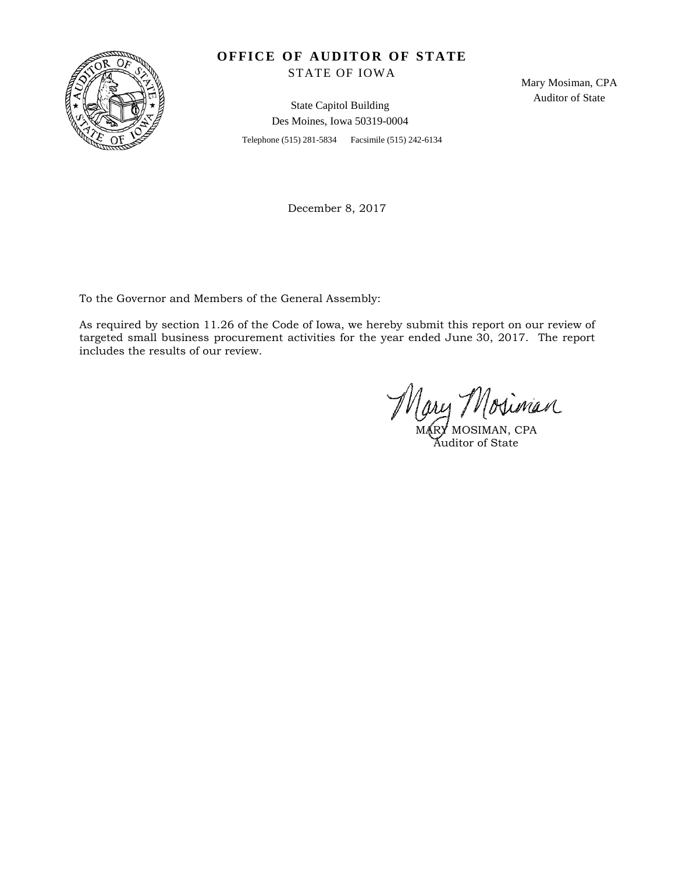

## **OFFICE OF AUDITOR OF STATE**

STATE OF IOWA

State Capitol Building Des Moines, Iowa 50319-0004

Telephone (515) 281-5834 Facsimile (515) 242-6134

Mary Mosiman, CPA Auditor of State

December 8, 2017

To the Governor and Members of the General Assembly:

As required by section 11.26 of the Code of Iowa, we hereby submit this report on our review of targeted small business procurement activities for the year ended June 30, 2017. The report includes the results of our review.

MARY MOSIMAN, CPA Auditor of State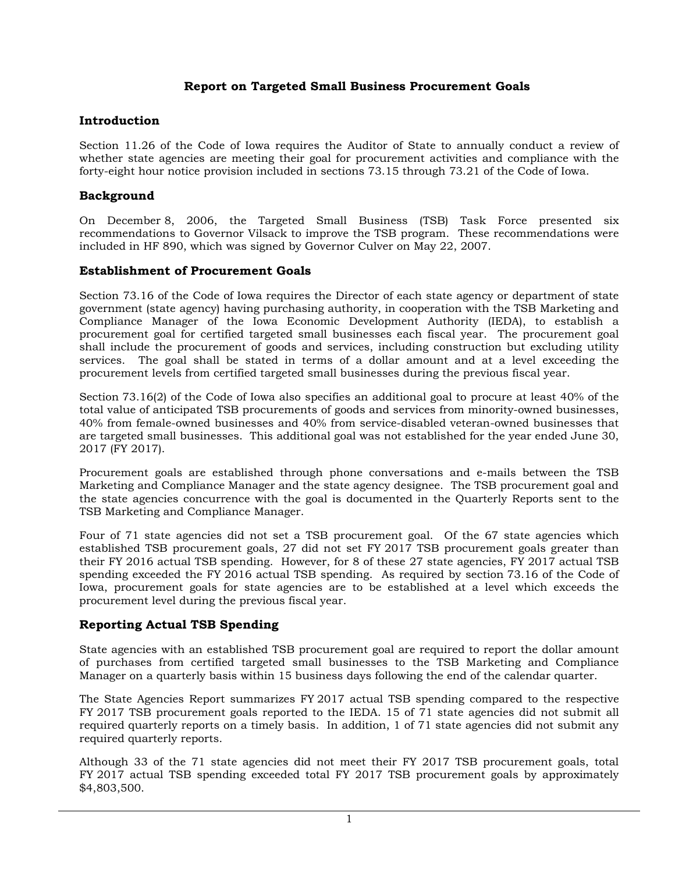## **Report on Targeted Small Business Procurement Goals**

### **Introduction**

Section 11.26 of the Code of Iowa requires the Auditor of State to annually conduct a review of whether state agencies are meeting their goal for procurement activities and compliance with the forty-eight hour notice provision included in sections 73.15 through 73.21 of the Code of Iowa.

#### **Background**

On December 8, 2006, the Targeted Small Business (TSB) Task Force presented six recommendations to Governor Vilsack to improve the TSB program. These recommendations were included in HF 890, which was signed by Governor Culver on May 22, 2007.

### **Establishment of Procurement Goals**

Section 73.16 of the Code of Iowa requires the Director of each state agency or department of state government (state agency) having purchasing authority, in cooperation with the TSB Marketing and Compliance Manager of the Iowa Economic Development Authority (IEDA), to establish a procurement goal for certified targeted small businesses each fiscal year. The procurement goal shall include the procurement of goods and services, including construction but excluding utility services. The goal shall be stated in terms of a dollar amount and at a level exceeding the procurement levels from certified targeted small businesses during the previous fiscal year.

Section 73.16(2) of the Code of Iowa also specifies an additional goal to procure at least 40% of the total value of anticipated TSB procurements of goods and services from minority-owned businesses, 40% from female-owned businesses and 40% from service-disabled veteran-owned businesses that are targeted small businesses. This additional goal was not established for the year ended June 30, 2017 (FY 2017).

Procurement goals are established through phone conversations and e-mails between the TSB Marketing and Compliance Manager and the state agency designee. The TSB procurement goal and the state agencies concurrence with the goal is documented in the Quarterly Reports sent to the TSB Marketing and Compliance Manager.

Four of 71 state agencies did not set a TSB procurement goal. Of the 67 state agencies which established TSB procurement goals, 27 did not set FY 2017 TSB procurement goals greater than their FY 2016 actual TSB spending. However, for 8 of these 27 state agencies, FY 2017 actual TSB spending exceeded the FY 2016 actual TSB spending. As required by section 73.16 of the Code of Iowa, procurement goals for state agencies are to be established at a level which exceeds the procurement level during the previous fiscal year.

## **Reporting Actual TSB Spending**

State agencies with an established TSB procurement goal are required to report the dollar amount of purchases from certified targeted small businesses to the TSB Marketing and Compliance Manager on a quarterly basis within 15 business days following the end of the calendar quarter.

The State Agencies Report summarizes FY 2017 actual TSB spending compared to the respective FY 2017 TSB procurement goals reported to the IEDA. 15 of 71 state agencies did not submit all required quarterly reports on a timely basis. In addition, 1 of 71 state agencies did not submit any required quarterly reports.

Although 33 of the 71 state agencies did not meet their FY 2017 TSB procurement goals, total FY 2017 actual TSB spending exceeded total FY 2017 TSB procurement goals by approximately \$4,803,500.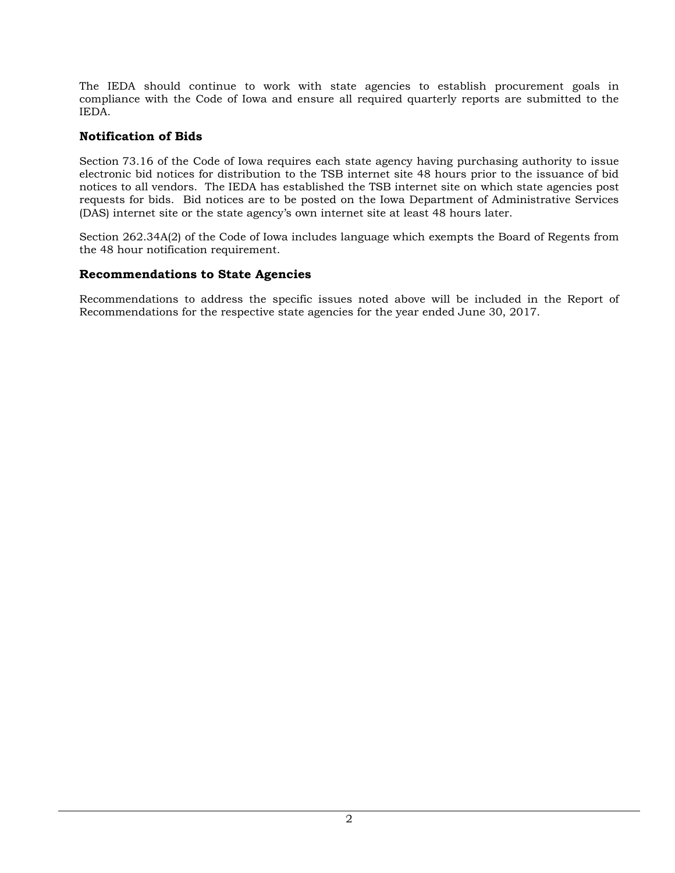The IEDA should continue to work with state agencies to establish procurement goals in compliance with the Code of Iowa and ensure all required quarterly reports are submitted to the IEDA.

## **Notification of Bids**

Section 73.16 of the Code of Iowa requires each state agency having purchasing authority to issue electronic bid notices for distribution to the TSB internet site 48 hours prior to the issuance of bid notices to all vendors. The IEDA has established the TSB internet site on which state agencies post requests for bids. Bid notices are to be posted on the Iowa Department of Administrative Services (DAS) internet site or the state agency's own internet site at least 48 hours later.

Section 262.34A(2) of the Code of Iowa includes language which exempts the Board of Regents from the 48 hour notification requirement.

### **Recommendations to State Agencies**

Recommendations to address the specific issues noted above will be included in the Report of Recommendations for the respective state agencies for the year ended June 30, 2017.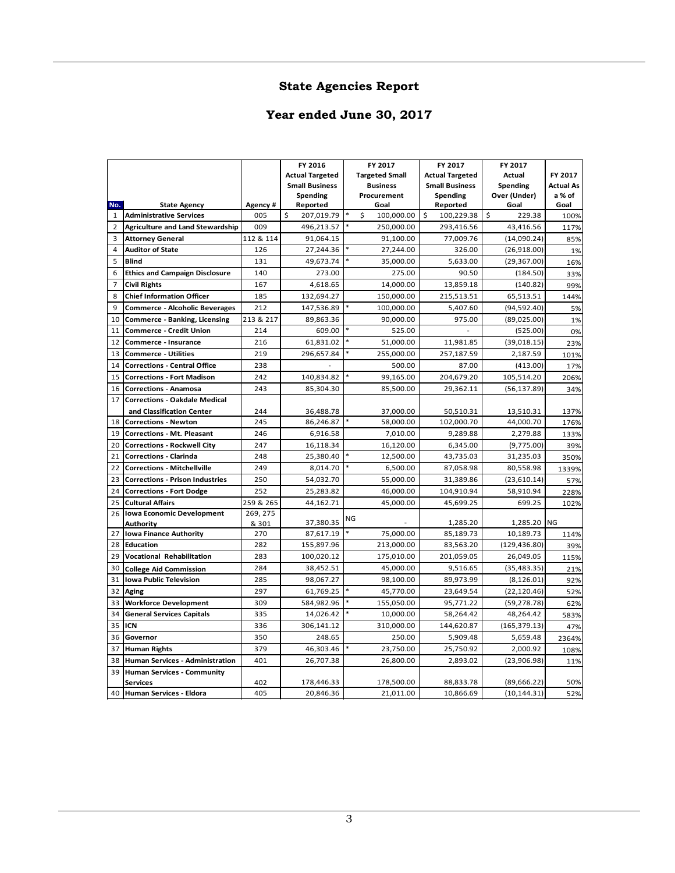# **State Agencies Report**

# **Year ended June 30, 2017**

|                |                                                             |            | FY 2016                 |    | FY 2017                 | FY 2017                | FY 2017                     |                  |
|----------------|-------------------------------------------------------------|------------|-------------------------|----|-------------------------|------------------------|-----------------------------|------------------|
|                |                                                             |            | <b>Actual Targeted</b>  |    | <b>Targeted Small</b>   | <b>Actual Targeted</b> | Actual                      | FY 2017          |
|                |                                                             |            | <b>Small Business</b>   |    | <b>Business</b>         | <b>Small Business</b>  | Spending                    | <b>Actual As</b> |
|                |                                                             |            | Spending                |    | Procurement             | Spending               | Over (Under)                | a % of           |
| No.            | <b>State Agency</b>                                         | Agency #   | Reported                |    | Goal                    | Reported               | Goal                        | Goal             |
| 1              | <b>Administrative Services</b>                              | 005        | \$.<br>207,019.79       |    | Ś<br>100,000.00         | \$<br>100,229.38       | Ŝ.<br>229.38                | 100%             |
| $\overline{2}$ | <b>Agriculture and Land Stewardship</b>                     | 009        | 496,213.57              |    | 250.000.00              | 293,416.56             | 43,416.56                   | 117%             |
| 3              | <b>Attorney General</b>                                     | 112 & 114  | 91,064.15               |    | 91,100.00               | 77,009.76              | (14,090.24)                 | 85%              |
| 4              | <b>Auditor of State</b>                                     | 126        | 27,244.36               |    | 27,244.00               | 326.00                 | (26,918.00)                 | 1%               |
| 5              | <b>Blind</b>                                                | 131        | 49,673.74               |    | 35,000.00               | 5,633.00               | (29, 367.00)                | 16%              |
| 6              | <b>Ethics and Campaign Disclosure</b>                       | 140        | 273.00                  |    | 275.00                  | 90.50                  | (184.50)                    | 33%              |
| $\overline{7}$ | <b>Civil Rights</b>                                         | 167        | 4,618.65                |    | 14,000.00               | 13,859.18              | (140.82)                    | 99%              |
| 8              | <b>Chief Information Officer</b>                            | 185        | 132,694.27              |    | 150,000.00              | 215,513.51             | 65,513.51                   | 144%             |
| 9              | <b>Commerce - Alcoholic Beverages</b>                       | 212        | 147,536.89              |    | 100,000.00              | 5,407.60               | (94, 592.40)                | 5%               |
| 10             | <b>Commerce - Banking, Licensing</b>                        | 213 & 217  | 89,863.36               |    | 90,000.00               | 975.00                 | (89,025.00)                 | 1%               |
| 11             | <b>Commerce - Credit Union</b>                              | 214        | 609.00                  |    | 525.00                  |                        | (525.00)                    | 0%               |
| 12             | Commerce - Insurance                                        | 216        | 61,831.02               |    | 51,000.00               | 11,981.85              | (39, 018.15)                | 23%              |
| 13             | <b>Commerce - Utilities</b>                                 | 219        | 296,657.84              |    | 255,000.00              | 257,187.59             | 2,187.59                    | 101%             |
| 14             | <b>Corrections - Central Office</b>                         | 238        |                         |    | 500.00                  | 87.00                  | (413.00)                    | 17%              |
| 15             | <b>Corrections - Fort Madison</b>                           | 242        | 140,834.82              |    | 99,165.00               | 204,679.20             | 105,514.20                  | 206%             |
| 16             | <b>Corrections - Anamosa</b>                                | 243        | 85,304.30               |    | 85,500.00               | 29,362.11              | (56, 137.89)                | 34%              |
| 17             | <b>Corrections - Oakdale Medical</b>                        |            |                         |    |                         |                        |                             |                  |
|                | and Classification Center                                   | 244        | 36,488.78               |    | 37,000.00               | 50,510.31              | 13,510.31                   | 137%             |
| 18             | <b>Corrections - Newton</b>                                 | 245        | 86,246.87               |    | 58,000.00               | 102,000.70             | 44,000.70                   | 176%             |
| 19             | <b>Corrections - Mt. Pleasant</b>                           | 246        | 6,916.58                |    | 7,010.00                | 9,289.88               | 2,279.88                    | 133%             |
| 20             | <b>Corrections - Rockwell City</b>                          | 247        | 16,118.34               |    | 16,120.00               | 6,345.00               | (9,775.00)                  | 39%              |
| 21             | <b>Corrections - Clarinda</b>                               | 248        | 25,380.40               |    | 12,500.00               | 43,735.03              | 31,235.03                   | 350%             |
| 22             | <b>Corrections - Mitchellville</b>                          | 249        | 8,014.70                |    | 6,500.00                | 87,058.98              | 80,558.98                   | 1339%            |
| 23             | <b>Corrections - Prison Industries</b>                      | 250        | 54,032.70               |    | 55,000.00               | 31,389.86              | (23, 610.14)                | 57%              |
| 24             | <b>Corrections - Fort Dodge</b>                             | 252        | 25,283.82               |    | 46,000.00               | 104,910.94             | 58,910.94                   |                  |
| 25             |                                                             | 259 & 265  |                         |    | 45,000.00               | 45,699.25              | 699.25                      | 228%             |
| 26             | <b>Cultural Affairs</b><br><b>Iowa Economic Development</b> | 269, 275   | 44,162.71               |    |                         |                        |                             | 102%             |
|                | Authority                                                   | & 301      | 37,380.35               | NG |                         | 1,285.20               | 1,285.20                    | <b>NG</b>        |
| 27             | <b>Iowa Finance Authority</b>                               | 270        | 87,617.19               |    | 75,000.00               | 85,189.73              | 10,189.73                   | 114%             |
| 28             | <b>Education</b>                                            | 282        | 155,897.96              |    | 213,000.00              | 83,563.20              | (129, 436.80)               | 39%              |
| 29             | Vocational Rehabilitation                                   | 283        | 100,020.12              |    | 175,010.00              | 201,059.05             | 26,049.05                   | 115%             |
| 30             | <b>College Aid Commission</b>                               | 284        | 38,452.51               |    | 45,000.00               | 9,516.65               | (35, 483.35)                | 21%              |
| 31             | <b>Iowa Public Television</b>                               | 285        | 98,067.27               |    | 98,100.00               | 89,973.99              | (8, 126.01)                 | 92%              |
| 32             | Aging                                                       | 297        | 61,769.25               |    | 45,770.00               | 23,649.54              | (22, 120.46)                | 52%              |
| 33             | <b>Workforce Development</b>                                | 309        | 584,982.96              |    | 155,050.00              | 95,771.22              | (59, 278.78)                | 62%              |
| 34             | <b>General Services Capitals</b>                            | 335        | 14,026.42               |    | 10,000.00               | 58,264.42              | 48,264.42                   |                  |
| 35             | ICN                                                         | 336        | 306,141.12              |    | 310,000.00              | 144,620.87             | (165, 379.13)               | 583%             |
| 36             | Governor                                                    | 350        | 248.65                  |    | 250.00                  | 5,909.48               | 5,659.48                    | 47%<br>2364%     |
|                |                                                             | 379        |                         |    |                         |                        |                             |                  |
| 37             | <b>Human Rights</b>                                         |            | 46,303.46               |    | 23,750.00               | 25,750.92              | 2,000.92                    | 108%             |
| 38             | <b>Human Services - Administration</b>                      | 401        | 26,707.38               |    | 26,800.00               | 2,893.02               | (23,906.98)                 | 11%              |
| 39             | <b>Human Services - Community</b>                           |            |                         |    |                         |                        |                             |                  |
| 40             | <b>Services</b><br>Human Services - Eldora                  | 402<br>405 | 178,446.33<br>20,846.36 |    | 178,500.00<br>21,011.00 | 88,833.78<br>10,866.69 | (89,666.22)<br>(10, 144.31) | 50%<br>52%       |
|                |                                                             |            |                         |    |                         |                        |                             |                  |